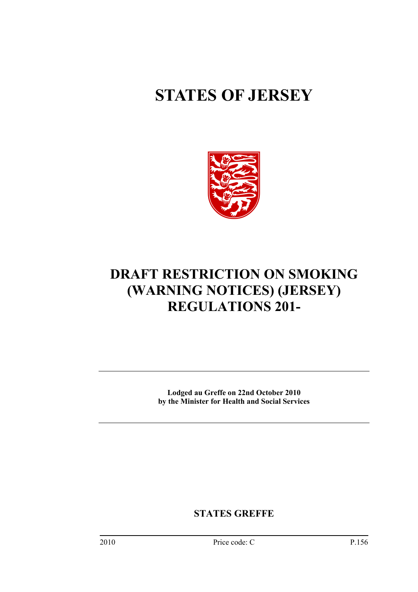# **STATES OF JERSEY**



# **DRAFT RESTRICTION ON SMOKING (WARNING NOTICES) (JERSEY) REGULATIONS 201-**

**Lodged au Greffe on 22nd October 2010 by the Minister for Health and Social Services** 

**STATES GREFFE**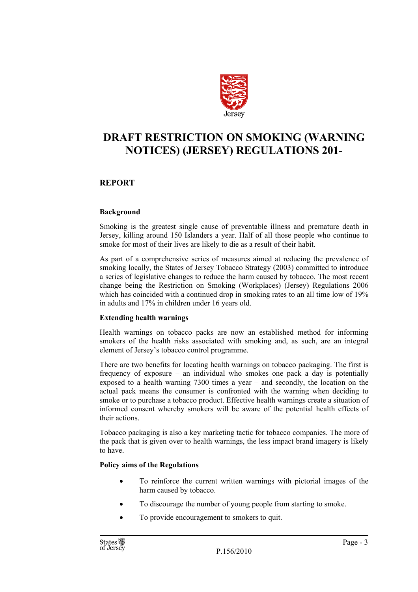

## **DRAFT RESTRICTION ON SMOKING (WARNING NOTICES) (JERSEY) REGULATIONS 201-**

#### **REPORT**

#### **Background**

Smoking is the greatest single cause of preventable illness and premature death in Jersey, killing around 150 Islanders a year. Half of all those people who continue to smoke for most of their lives are likely to die as a result of their habit.

As part of a comprehensive series of measures aimed at reducing the prevalence of smoking locally, the States of Jersey Tobacco Strategy (2003) committed to introduce a series of legislative changes to reduce the harm caused by tobacco. The most recent change being the Restriction on Smoking (Workplaces) (Jersey) Regulations 2006 which has coincided with a continued drop in smoking rates to an all time low of 19% in adults and 17% in children under 16 years old.

#### **Extending health warnings**

Health warnings on tobacco packs are now an established method for informing smokers of the health risks associated with smoking and, as such, are an integral element of Jersey's tobacco control programme.

There are two benefits for locating health warnings on tobacco packaging. The first is frequency of exposure – an individual who smokes one pack a day is potentially exposed to a health warning 7300 times a year – and secondly, the location on the actual pack means the consumer is confronted with the warning when deciding to smoke or to purchase a tobacco product. Effective health warnings create a situation of informed consent whereby smokers will be aware of the potential health effects of their actions.

Tobacco packaging is also a key marketing tactic for tobacco companies. The more of the pack that is given over to health warnings, the less impact brand imagery is likely to have.

#### **Policy aims of the Regulations**

- To reinforce the current written warnings with pictorial images of the harm caused by tobacco.
- To discourage the number of young people from starting to smoke.
- To provide encouragement to smokers to quit.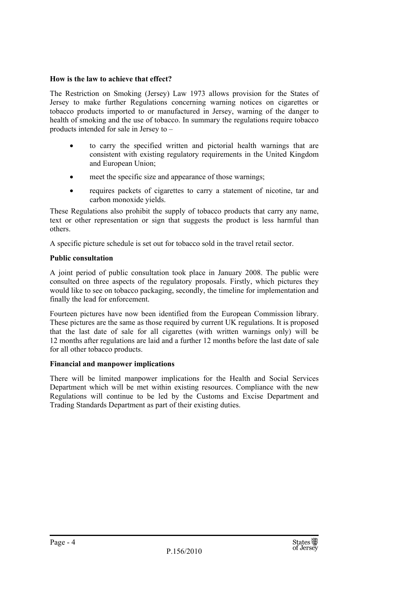#### **How is the law to achieve that effect?**

The Restriction on Smoking (Jersey) Law 1973 allows provision for the States of Jersey to make further Regulations concerning warning notices on cigarettes or tobacco products imported to or manufactured in Jersey, warning of the danger to health of smoking and the use of tobacco. In summary the regulations require tobacco products intended for sale in Jersey to –

- to carry the specified written and pictorial health warnings that are consistent with existing regulatory requirements in the United Kingdom and European Union;
- meet the specific size and appearance of those warnings:
- requires packets of cigarettes to carry a statement of nicotine, tar and carbon monoxide yields.

These Regulations also prohibit the supply of tobacco products that carry any name, text or other representation or sign that suggests the product is less harmful than others.

A specific picture schedule is set out for tobacco sold in the travel retail sector.

#### **Public consultation**

A joint period of public consultation took place in January 2008. The public were consulted on three aspects of the regulatory proposals. Firstly, which pictures they would like to see on tobacco packaging, secondly, the timeline for implementation and finally the lead for enforcement.

Fourteen pictures have now been identified from the European Commission library. These pictures are the same as those required by current UK regulations. It is proposed that the last date of sale for all cigarettes (with written warnings only) will be 12 months after regulations are laid and a further 12 months before the last date of sale for all other tobacco products.

#### **Financial and manpower implications**

There will be limited manpower implications for the Health and Social Services Department which will be met within existing resources. Compliance with the new Regulations will continue to be led by the Customs and Excise Department and Trading Standards Department as part of their existing duties.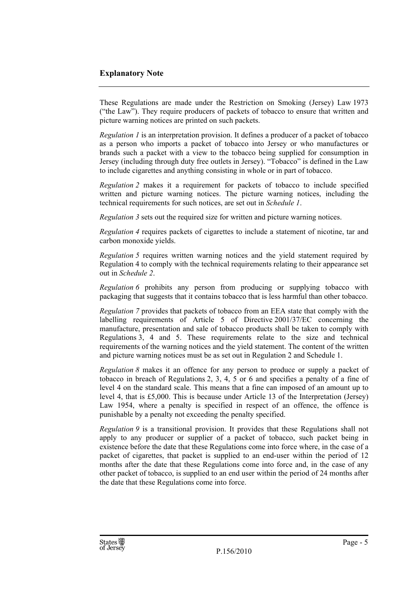#### **Explanatory Note**

These Regulations are made under the Restriction on Smoking (Jersey) Law 1973 ("the Law"). They require producers of packets of tobacco to ensure that written and picture warning notices are printed on such packets.

*Regulation 1* is an interpretation provision. It defines a producer of a packet of tobacco as a person who imports a packet of tobacco into Jersey or who manufactures or brands such a packet with a view to the tobacco being supplied for consumption in Jersey (including through duty free outlets in Jersey). "Tobacco" is defined in the Law to include cigarettes and anything consisting in whole or in part of tobacco.

*Regulation 2* makes it a requirement for packets of tobacco to include specified written and picture warning notices. The picture warning notices, including the technical requirements for such notices, are set out in *Schedule 1*.

*Regulation 3* sets out the required size for written and picture warning notices.

*Regulation 4* requires packets of cigarettes to include a statement of nicotine, tar and carbon monoxide yields.

*Regulation 5* requires written warning notices and the yield statement required by Regulation 4 to comply with the technical requirements relating to their appearance set out in *Schedule 2*.

*Regulation 6* prohibits any person from producing or supplying tobacco with packaging that suggests that it contains tobacco that is less harmful than other tobacco.

*Regulation 7* provides that packets of tobacco from an EEA state that comply with the labelling requirements of Article 5 of Directive 2001/37/EC concerning the manufacture, presentation and sale of tobacco products shall be taken to comply with Regulations 3, 4 and 5. These requirements relate to the size and technical requirements of the warning notices and the yield statement. The content of the written and picture warning notices must be as set out in Regulation 2 and Schedule 1.

*Regulation 8* makes it an offence for any person to produce or supply a packet of tobacco in breach of Regulations 2, 3, 4, 5 or 6 and specifies a penalty of a fine of level 4 on the standard scale. This means that a fine can imposed of an amount up to level 4, that is £5,000. This is because under Article 13 of the Interpretation (Jersey) Law 1954, where a penalty is specified in respect of an offence, the offence is punishable by a penalty not exceeding the penalty specified.

*Regulation 9* is a transitional provision. It provides that these Regulations shall not apply to any producer or supplier of a packet of tobacco, such packet being in existence before the date that these Regulations come into force where, in the case of a packet of cigarettes, that packet is supplied to an end-user within the period of 12 months after the date that these Regulations come into force and, in the case of any other packet of tobacco, is supplied to an end user within the period of 24 months after the date that these Regulations come into force.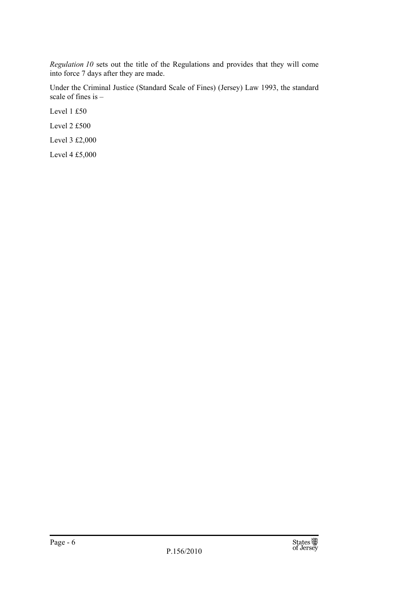*Regulation 10* sets out the title of the Regulations and provides that they will come into force 7 days after they are made.

Under the Criminal Justice (Standard Scale of Fines) (Jersey) Law 1993, the standard scale of fines is –

Level 1 £50 Level 2 £500

Level 3 £2,000

Level 4 £5,000

Page - 6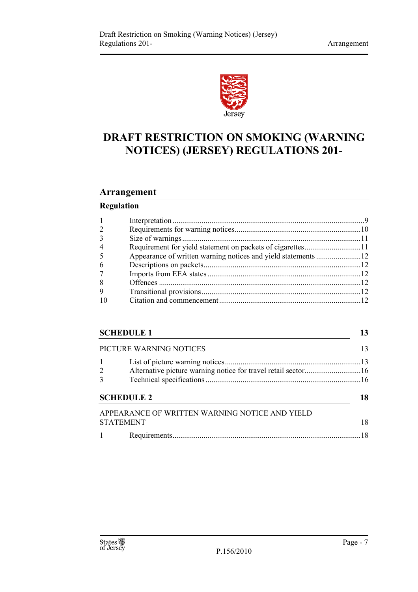

# **DRAFT RESTRICTION ON SMOKING (WARNING NOTICES) (JERSEY) REGULATIONS 201-**

## **Arrangement**

## **Regulation**

| $\overline{4}$ |  |
|----------------|--|
|                |  |
| 6              |  |
|                |  |
| 8              |  |
| 9              |  |
|                |  |

## **SCHEDULE 1** 13

|                   | PICTURE WARNING NOTICES                                       |    |
|-------------------|---------------------------------------------------------------|----|
| $1 \quad$         |                                                               |    |
| $\frac{2}{3}$     | Alternative picture warning notice for travel retail sector16 |    |
|                   |                                                               |    |
|                   | <b>SCHEDULE 2</b>                                             | 18 |
|                   | APPEARANCE OF WRITTEN WARNING NOTICE AND YIELD                |    |
|                   | <b>STATEMENT</b>                                              | 18 |
| $1 \qquad \qquad$ |                                                               |    |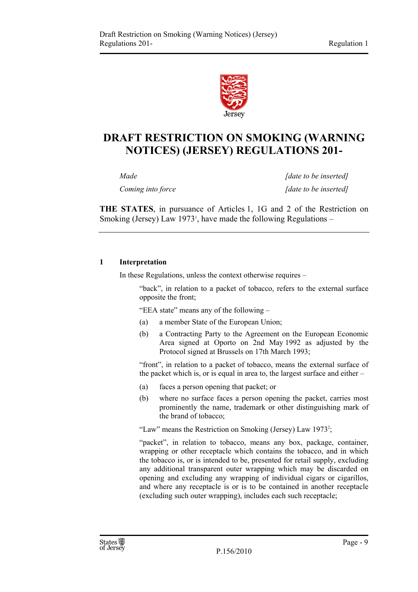

## **DRAFT RESTRICTION ON SMOKING (WARNING NOTICES) (JERSEY) REGULATIONS 201-**

*Made Made Made Made Made Made Made inserted Coming into force* [date to be inserted]

**THE STATES**, in pursuance of Articles 1, 1G and 2 of the Restriction on Smoking (Jersey) Law  $1973<sup>1</sup>$ , have made the following Regulations –

#### **1 Interpretation**

In these Regulations, unless the context otherwise requires –

"back", in relation to a packet of tobacco, refers to the external surface opposite the front;

"EEA state" means any of the following –

- (a) a member State of the European Union;
- (b) a Contracting Party to the Agreement on the European Economic Area signed at Oporto on 2nd May 1992 as adjusted by the Protocol signed at Brussels on 17th March 1993;

"front", in relation to a packet of tobacco, means the external surface of the packet which is, or is equal in area to, the largest surface and either  $-$ 

- (a) faces a person opening that packet; or
- (b) where no surface faces a person opening the packet, carries most prominently the name, trademark or other distinguishing mark of the brand of tobacco;

"Law" means the Restriction on Smoking (Jersey) Law 1973<sup>2</sup>;

"packet", in relation to tobacco, means any box, package, container, wrapping or other receptacle which contains the tobacco, and in which the tobacco is, or is intended to be, presented for retail supply, excluding any additional transparent outer wrapping which may be discarded on opening and excluding any wrapping of individual cigars or cigarillos, and where any receptacle is or is to be contained in another receptacle (excluding such outer wrapping), includes each such receptacle;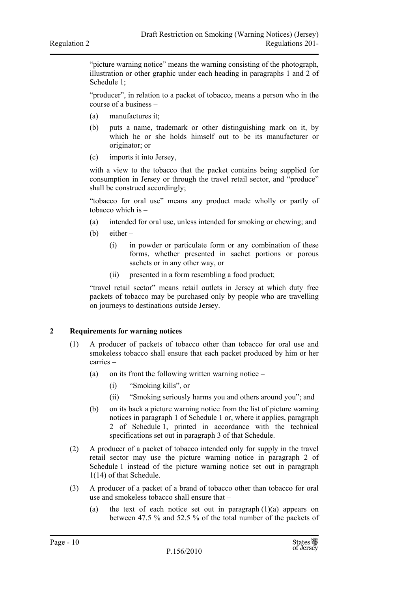"picture warning notice" means the warning consisting of the photograph, illustration or other graphic under each heading in paragraphs 1 and 2 of Schedule 1;

"producer", in relation to a packet of tobacco, means a person who in the course of a business –

- (a) manufactures it;
- (b) puts a name, trademark or other distinguishing mark on it, by which he or she holds himself out to be its manufacturer or originator; or
- (c) imports it into Jersey,

with a view to the tobacco that the packet contains being supplied for consumption in Jersey or through the travel retail sector, and "produce" shall be construed accordingly;

"tobacco for oral use" means any product made wholly or partly of tobacco which is –

- (a) intended for oral use, unless intended for smoking or chewing; and
- (b) either
	- (i) in powder or particulate form or any combination of these forms, whether presented in sachet portions or porous sachets or in any other way, or
	- (ii) presented in a form resembling a food product;

"travel retail sector" means retail outlets in Jersey at which duty free packets of tobacco may be purchased only by people who are travelling on journeys to destinations outside Jersey.

#### **2 Requirements for warning notices**

- (1) A producer of packets of tobacco other than tobacco for oral use and smokeless tobacco shall ensure that each packet produced by him or her carries –
	- (a) on its front the following written warning notice
		- (i) "Smoking kills", or
		- (ii) "Smoking seriously harms you and others around you"; and
	- (b) on its back a picture warning notice from the list of picture warning notices in paragraph 1 of Schedule 1 or, where it applies, paragraph 2 of Schedule 1, printed in accordance with the technical specifications set out in paragraph 3 of that Schedule.
- (2) A producer of a packet of tobacco intended only for supply in the travel retail sector may use the picture warning notice in paragraph 2 of Schedule 1 instead of the picture warning notice set out in paragraph 1(14) of that Schedule.
- (3) A producer of a packet of a brand of tobacco other than tobacco for oral use and smokeless tobacco shall ensure that –
	- (a) the text of each notice set out in paragraph  $(1)(a)$  appears on between 47.5 % and 52.5 % of the total number of the packets of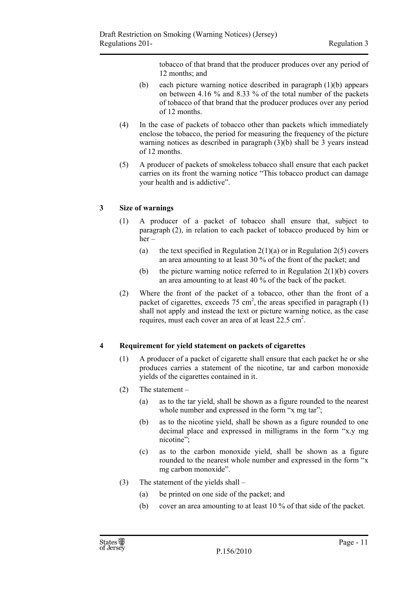tobacco of that brand that the producer produces over any period of 12 months; and

- (b) each picture warning notice described in paragraph (1)(b) appears on between 4.16 % and 8.33 % of the total number of the packets of tobacco of that brand that the producer produces over any period of 12 months.
- (4) In the case of packets of tobacco other than packets which immediately enclose the tobacco, the period for measuring the frequency of the picture warning notices as described in paragraph (3)(b) shall be 3 years instead of 12 months.
- (5) A producer of packets of smokeless tobacco shall ensure that each packet carries on its front the warning notice "This tobacco product can damage your health and is addictive".

#### **3 Size of warnings**

- (1) A producer of a packet of tobacco shall ensure that, subject to paragraph (2), in relation to each packet of tobacco produced by him or her –
	- (a) the text specified in Regulation  $2(1)(a)$  or in Regulation  $2(5)$  covers an area amounting to at least 30 % of the front of the packet; and
	- (b) the picture warning notice referred to in Regulation  $2(1)(b)$  covers an area amounting to at least 40 % of the back of the packet.
- (2) Where the front of the packet of a tobacco, other than the front of a packet of cigarettes, exceeds  $75 \text{ cm}^2$ , the areas specified in paragraph  $(1)$ shall not apply and instead the text or picture warning notice, as the case requires, must each cover an area of at least 22.5 cm<sup>2</sup>.

#### **4 Requirement for yield statement on packets of cigarettes**

- (1) A producer of a packet of cigarette shall ensure that each packet he or she produces carries a statement of the nicotine, tar and carbon monoxide yields of the cigarettes contained in it.
- (2) The statement
	- (a) as to the tar yield, shall be shown as a figure rounded to the nearest whole number and expressed in the form "x mg tar";
	- (b) as to the nicotine yield, shall be shown as a figure rounded to one decimal place and expressed in milligrams in the form "x.y mg nicotine";
	- (c) as to the carbon monoxide yield, shall be shown as a figure rounded to the nearest whole number and expressed in the form "x mg carbon monoxide".
- (3) The statement of the yields shall
	- (a) be printed on one side of the packet; and
	- (b) cover an area amounting to at least 10 % of that side of the packet.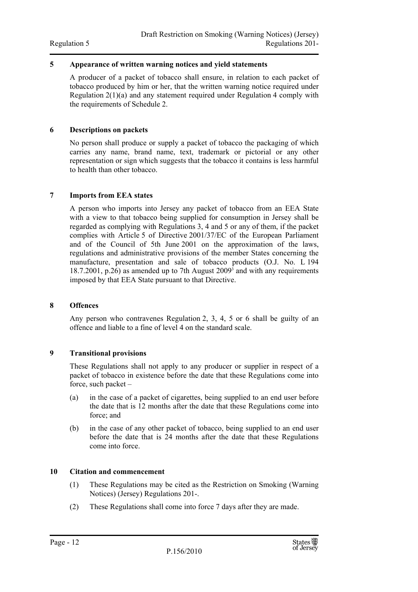#### **5 Appearance of written warning notices and yield statements**

A producer of a packet of tobacco shall ensure, in relation to each packet of tobacco produced by him or her, that the written warning notice required under Regulation 2(1)(a) and any statement required under Regulation 4 comply with the requirements of Schedule 2.

#### **6 Descriptions on packets**

No person shall produce or supply a packet of tobacco the packaging of which carries any name, brand name, text, trademark or pictorial or any other representation or sign which suggests that the tobacco it contains is less harmful to health than other tobacco.

#### **7 Imports from EEA states**

A person who imports into Jersey any packet of tobacco from an EEA State with a view to that tobacco being supplied for consumption in Jersey shall be regarded as complying with Regulations 3, 4 and 5 or any of them, if the packet complies with Article 5 of Directive 2001/37/EC of the European Parliament and of the Council of 5th June 2001 on the approximation of the laws, regulations and administrative provisions of the member States concerning the manufacture, presentation and sale of tobacco products (O.J. No. L 194 18.7.2001, p.26) as amended up to 7th August 20093 and with any requirements imposed by that EEA State pursuant to that Directive.

#### **8 Offences**

Any person who contravenes Regulation 2, 3, 4, 5 or 6 shall be guilty of an offence and liable to a fine of level 4 on the standard scale.

#### **9 Transitional provisions**

These Regulations shall not apply to any producer or supplier in respect of a packet of tobacco in existence before the date that these Regulations come into force, such packet –

- (a) in the case of a packet of cigarettes, being supplied to an end user before the date that is 12 months after the date that these Regulations come into force; and
- (b) in the case of any other packet of tobacco, being supplied to an end user before the date that is 24 months after the date that these Regulations come into force.

#### **10 Citation and commencement**

- (1) These Regulations may be cited as the Restriction on Smoking (Warning Notices) (Jersey) Regulations 201-.
- (2) These Regulations shall come into force 7 days after they are made.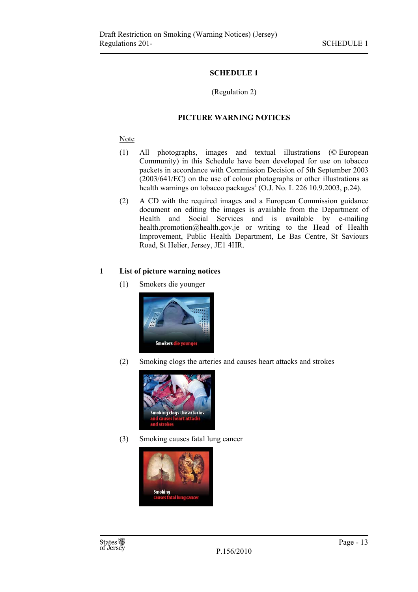#### **SCHEDULE 1**

#### (Regulation 2)

#### **PICTURE WARNING NOTICES**

#### **Note**

- (1) All photographs, images and textual illustrations (© European Community) in this Schedule have been developed for use on tobacco packets in accordance with Commission Decision of 5th September 2003 (2003/641/EC) on the use of colour photographs or other illustrations as health warnings on tobacco packages<sup>4</sup> (O.J. No. L 226 10.9.2003, p.24).
- (2) A CD with the required images and a European Commission guidance document on editing the images is available from the Department of Health and Social Services and is available by e-mailing health.promotion@health.gov.je or writing to the Head of Health Improvement, Public Health Department, Le Bas Centre, St Saviours Road, St Helier, Jersey, JE1 4HR.

#### **1 List of picture warning notices**

(1) Smokers die younger



(2) Smoking clogs the arteries and causes heart attacks and strokes



(3) Smoking causes fatal lung cancer

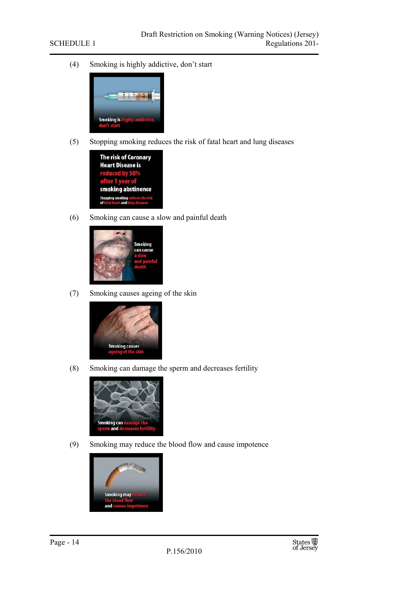(4) Smoking is highly addictive, don't start



(5) Stopping smoking reduces the risk of fatal heart and lung diseases



(6) Smoking can cause a slow and painful death



(7) Smoking causes ageing of the skin



(8) Smoking can damage the sperm and decreases fertility



(9) Smoking may reduce the blood flow and cause impotence



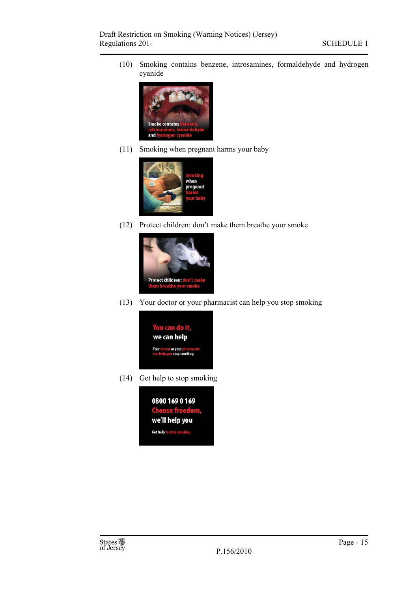(10) Smoking contains benzene, introsamines, formaldehyde and hydrogen cyanide



(11) Smoking when pregnant harms your baby



(12) Protect children: don't make them breathe your smoke



(13) Your doctor or your pharmacist can help you stop smoking



(14) Get help to stop smoking

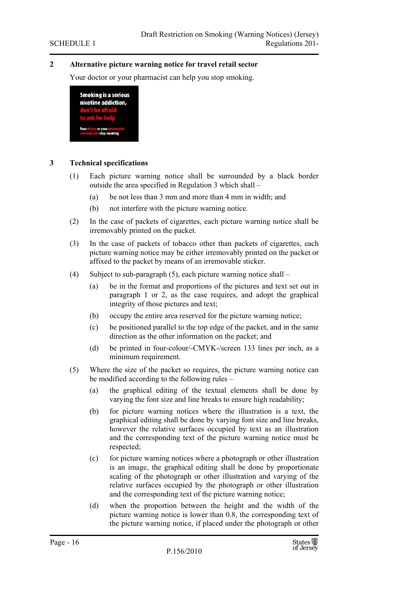#### **2 Alternative picture warning notice for travel retail sector**

Your doctor or your pharmacist can help you stop smoking.



#### **3 Technical specifications**

- (1) Each picture warning notice shall be surrounded by a black border outside the area specified in Regulation 3 which shall –
	- (a) be not less than 3 mm and more than 4 mm in width; and
	- (b) not interfere with the picture warning notice.
- (2) In the case of packets of cigarettes, each picture warning notice shall be irremovably printed on the packet.
- (3) In the case of packets of tobacco other than packets of cigarettes, each picture warning notice may be either irremovably printed on the packet or affixed to the packet by means of an irremovable sticker.
- (4) Subject to sub-paragraph (5), each picture warning notice shall
	- (a) be in the format and proportions of the pictures and text set out in paragraph 1 or 2, as the case requires, and adopt the graphical integrity of those pictures and text;
	- (b) occupy the entire area reserved for the picture warning notice;
	- (c) be positioned parallel to the top edge of the packet, and in the same direction as the other information on the packet; and
	- (d) be printed in four-colour/-CMYK-/screen 133 lines per inch, as a minimum requirement.
- (5) Where the size of the packet so requires, the picture warning notice can be modified according to the following rules –
	- (a) the graphical editing of the textual elements shall be done by varying the font size and line breaks to ensure high readability;
	- (b) for picture warning notices where the illustration is a text, the graphical editing shall be done by varying font size and line breaks, however the relative surfaces occupied by text as an illustration and the corresponding text of the picture warning notice must be respected;
	- (c) for picture warning notices where a photograph or other illustration is an image, the graphical editing shall be done by proportionate scaling of the photograph or other illustration and varying of the relative surfaces occupied by the photograph or other illustration and the corresponding text of the picture warning notice;
	- (d) when the proportion between the height and the width of the picture warning notice is lower than 0.8, the corresponding text of the picture warning notice, if placed under the photograph or other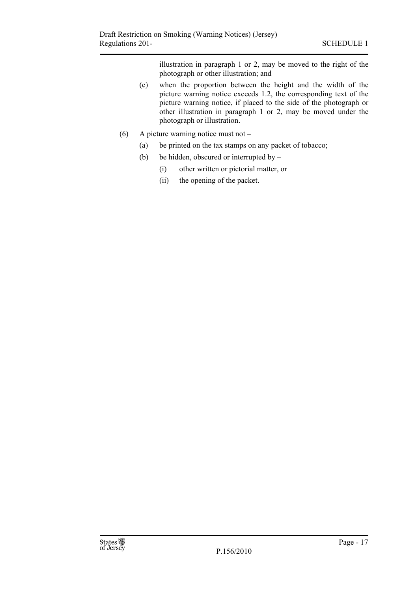illustration in paragraph 1 or 2, may be moved to the right of the photograph or other illustration; and

- (e) when the proportion between the height and the width of the picture warning notice exceeds 1.2, the corresponding text of the picture warning notice, if placed to the side of the photograph or other illustration in paragraph 1 or 2, may be moved under the photograph or illustration.
- (6) A picture warning notice must not
	- (a) be printed on the tax stamps on any packet of tobacco;
	- (b) be hidden, obscured or interrupted by  $-$ 
		- (i) other written or pictorial matter, or
		- (ii) the opening of the packet.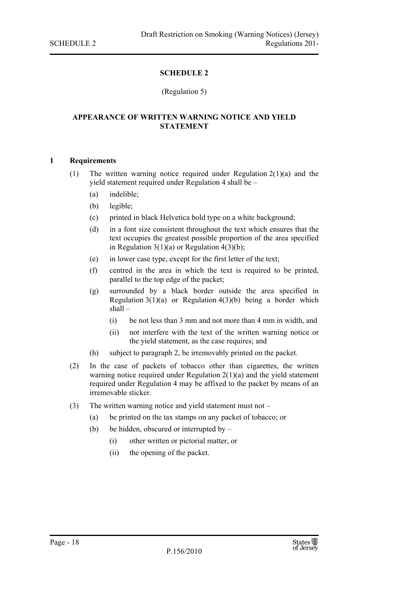#### **SCHEDULE 2**

#### (Regulation 5)

#### **APPEARANCE OF WRITTEN WARNING NOTICE AND YIELD STATEMENT**

#### **1 Requirements**

- (1) The written warning notice required under Regulation 2(1)(a) and the yield statement required under Regulation 4 shall be –
	- (a) indelible;
	- (b) legible;
	- (c) printed in black Helvetica bold type on a white background;
	- (d) in a font size consistent throughout the text which ensures that the text occupies the greatest possible proportion of the area specified in Regulation  $3(1)(a)$  or Regulation  $4(3)(b)$ ;
	- (e) in lower case type, except for the first letter of the text;
	- (f) centred in the area in which the text is required to be printed, parallel to the top edge of the packet;
	- (g) surrounded by a black border outside the area specified in Regulation  $3(1)(a)$  or Regulation  $4(3)(b)$  being a border which shall –
		- (i) be not less than 3 mm and not more than 4 mm in width, and
		- (ii) not interfere with the text of the written warning notice or the yield statement, as the case requires; and
	- (h) subject to paragraph 2, be irremovably printed on the packet.
- (2) In the case of packets of tobacco other than cigarettes, the written warning notice required under Regulation  $2(1)(a)$  and the yield statement required under Regulation 4 may be affixed to the packet by means of an irremovable sticker.
- (3) The written warning notice and yield statement must not
	- (a) be printed on the tax stamps on any packet of tobacco; or
	- (b) be hidden, obscured or interrupted by  $-$ 
		- (i) other written or pictorial matter, or
		- (ii) the opening of the packet.